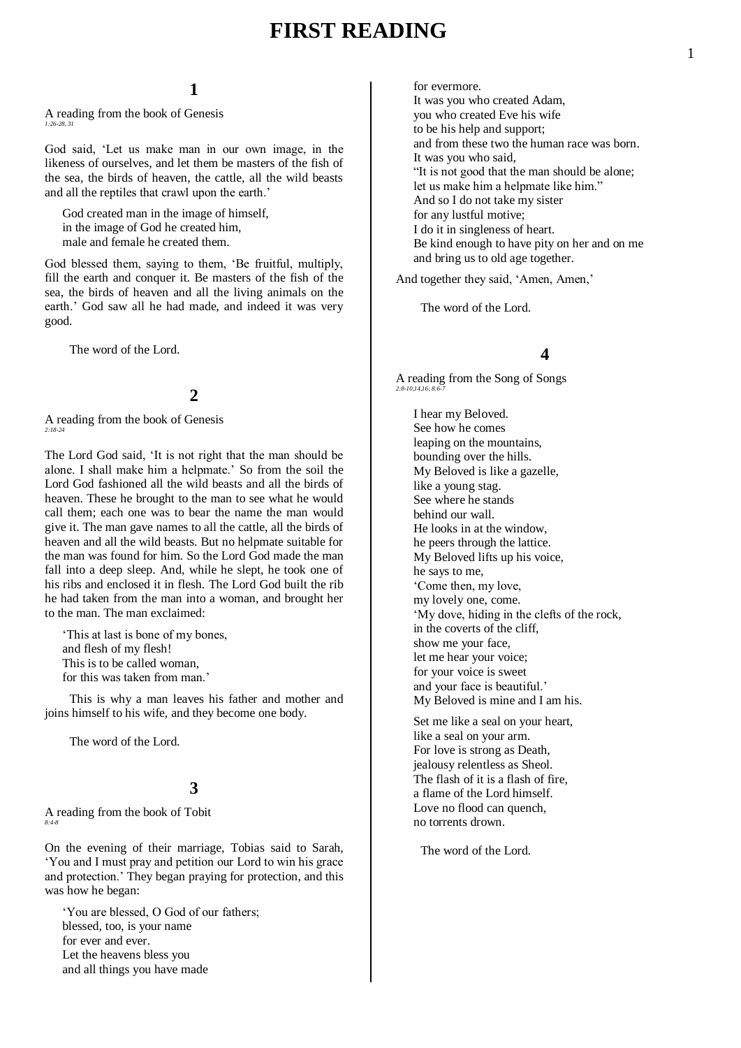# **FIRST READING**

### **1**

A reading from the book of Genesis *1:26-28, 31*

God said, 'Let us make man in our own image, in the likeness of ourselves, and let them be masters of the fish of the sea, the birds of heaven, the cattle, all the wild beasts and all the reptiles that crawl upon the earth.'

God created man in the image of himself, in the image of God he created him, male and female he created them.

God blessed them, saying to them, 'Be fruitful, multiply, fill the earth and conquer it. Be masters of the fish of the sea, the birds of heaven and all the living animals on the earth.' God saw all he had made, and indeed it was very good.

The word of the Lord.

#### **2**

A reading from the book of Genesis *2:18-24*

The Lord God said, 'It is not right that the man should be alone. I shall make him a helpmate.' So from the soil the Lord God fashioned all the wild beasts and all the birds of heaven. These he brought to the man to see what he would call them; each one was to bear the name the man would give it. The man gave names to all the cattle, all the birds of heaven and all the wild beasts. But no helpmate suitable for the man was found for him. So the Lord God made the man fall into a deep sleep. And, while he slept, he took one of his ribs and enclosed it in flesh. The Lord God built the rib he had taken from the man into a woman, and brought her to the man. The man exclaimed:

'This at last is bone of my bones, and flesh of my flesh! This is to be called woman, for this was taken from man.'

This is why a man leaves his father and mother and joins himself to his wife, and they become one body.

The word of the Lord.

# **3**

A reading from the book of Tobit *8:4-8*

On the evening of their marriage, Tobias said to Sarah, 'You and I must pray and petition our Lord to win his grace and protection.' They began praying for protection, and this was how he began:

'You are blessed, O God of our fathers; blessed, too, is your name for ever and ever. Let the heavens bless you and all things you have made

for evermore. It was you who created Adam, you who created Eve his wife to be his help and support; and from these two the human race was born. It was you who said, "It is not good that the man should be alone; let us make him a helpmate like him." And so I do not take my sister for any lustful motive; I do it in singleness of heart. Be kind enough to have pity on her and on me and bring us to old age together.

And together they said, 'Amen, Amen,'

The word of the Lord.

### **4**

A reading from the Song of Songs 2:8-10,14,16:8:

> I hear my Beloved. See how he comes leaping on the mountains, bounding over the hills. My Beloved is like a gazelle, like a young stag. See where he stands behind our wall. He looks in at the window, he peers through the lattice. My Beloved lifts up his voice, he says to me, 'Come then, my love, my lovely one, come. 'My dove, hiding in the clefts of the rock, in the coverts of the cliff, show me your face, let me hear your voice; for your voice is sweet and your face is beautiful.' My Beloved is mine and I am his.

Set me like a seal on your heart, like a seal on your arm. For love is strong as Death, jealousy relentless as Sheol. The flash of it is a flash of fire, a flame of the Lord himself. Love no flood can quench, no torrents drown.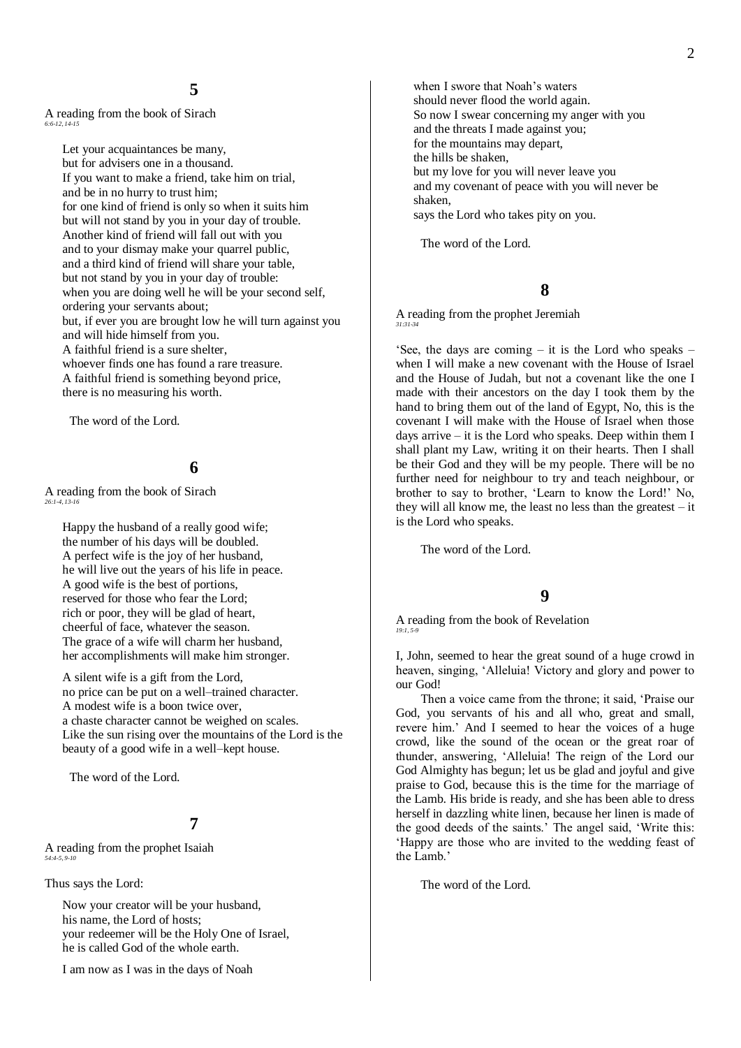A reading from the book of Sirach *6:6-12, 14-15*

> Let your acquaintances be many, but for advisers one in a thousand. If you want to make a friend, take him on trial, and be in no hurry to trust him; for one kind of friend is only so when it suits him but will not stand by you in your day of trouble. Another kind of friend will fall out with you and to your dismay make your quarrel public, and a third kind of friend will share your table, but not stand by you in your day of trouble: when you are doing well he will be your second self, ordering your servants about; but, if ever you are brought low he will turn against you and will hide himself from you. A faithful friend is a sure shelter, whoever finds one has found a rare treasure. A faithful friend is something beyond price, there is no measuring his worth.

The word of the Lord.

#### **6**

A reading from the book of Sirach *26:1-4, 13-16*

> Happy the husband of a really good wife; the number of his days will be doubled. A perfect wife is the joy of her husband, he will live out the years of his life in peace. A good wife is the best of portions, reserved for those who fear the Lord; rich or poor, they will be glad of heart, cheerful of face, whatever the season. The grace of a wife will charm her husband, her accomplishments will make him stronger.

A silent wife is a gift from the Lord, no price can be put on a well–trained character. A modest wife is a boon twice over, a chaste character cannot be weighed on scales. Like the sun rising over the mountains of the Lord is the beauty of a good wife in a well–kept house.

The word of the Lord.

### **7**

A reading from the prophet Isaiah *54:4-5, 9-10* 

Thus says the Lord:

Now your creator will be your husband, his name, the Lord of hosts; your redeemer will be the Holy One of Israel, he is called God of the whole earth.

I am now as I was in the days of Noah

when I swore that Noah's waters should never flood the world again. So now I swear concerning my anger with you and the threats I made against you; for the mountains may depart, the hills be shaken, but my love for you will never leave you and my covenant of peace with you will never be shaken,

says the Lord who takes pity on you.

The word of the Lord.

#### **8**

A reading from the prophet Jeremiah *31:31-34*

'See, the days are coming – it is the Lord who speaks – when I will make a new covenant with the House of Israel and the House of Judah, but not a covenant like the one I made with their ancestors on the day I took them by the hand to bring them out of the land of Egypt, No, this is the covenant I will make with the House of Israel when those days arrive – it is the Lord who speaks. Deep within them I shall plant my Law, writing it on their hearts. Then I shall be their God and they will be my people. There will be no further need for neighbour to try and teach neighbour, or brother to say to brother, 'Learn to know the Lord!' No, they will all know me, the least no less than the greatest – it is the Lord who speaks.

The word of the Lord.

#### **9**

A reading from the book of Revelation *19:1, 5-9*

I, John, seemed to hear the great sound of a huge crowd in heaven, singing, 'Alleluia! Victory and glory and power to our God!

Then a voice came from the throne; it said, 'Praise our God, you servants of his and all who, great and small, revere him.' And I seemed to hear the voices of a huge crowd, like the sound of the ocean or the great roar of thunder, answering, 'Alleluia! The reign of the Lord our God Almighty has begun; let us be glad and joyful and give praise to God, because this is the time for the marriage of the Lamb. His bride is ready, and she has been able to dress herself in dazzling white linen, because her linen is made of the good deeds of the saints.' The angel said, 'Write this: 'Happy are those who are invited to the wedding feast of the Lamb.'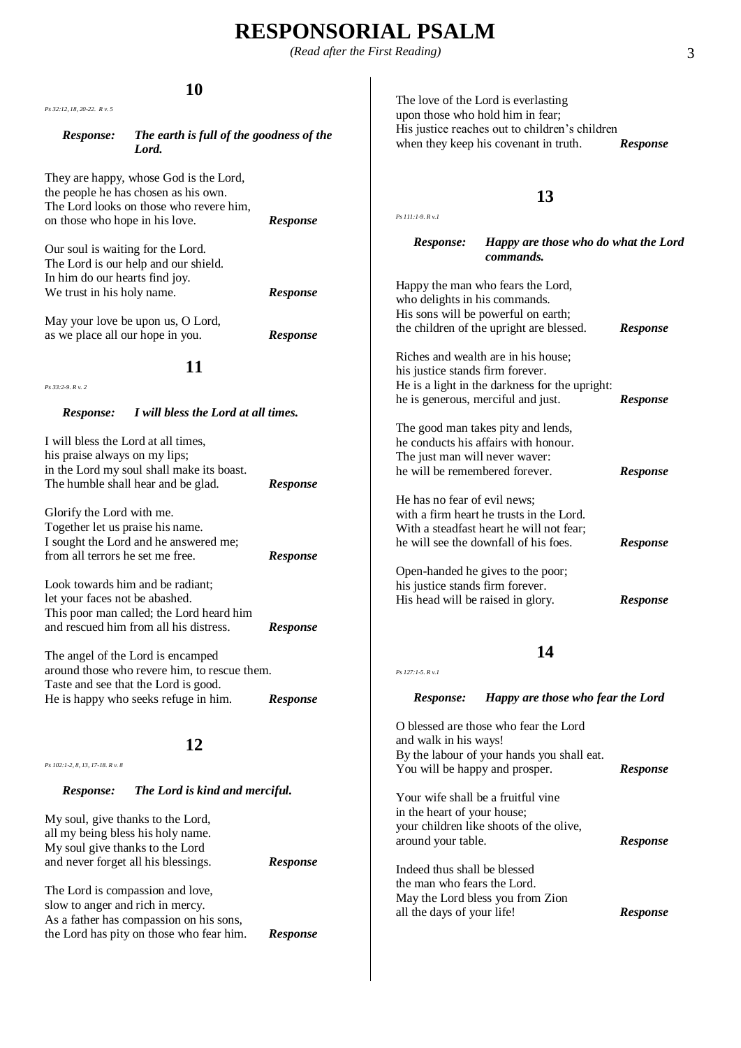# **RESPONSORIAL PSALM**

*(Read after the First Reading)*

| <b>10</b>                                                                                                                                                   |                                                   |                                                                                      | The love of the Lord is everlasting<br>upon those who hold him in fear;                                   |                                                                            |                 |
|-------------------------------------------------------------------------------------------------------------------------------------------------------------|---------------------------------------------------|--------------------------------------------------------------------------------------|-----------------------------------------------------------------------------------------------------------|----------------------------------------------------------------------------|-----------------|
| Ps 32:12, 18, 20-22. R v. 5                                                                                                                                 |                                                   |                                                                                      |                                                                                                           |                                                                            |                 |
| Response:                                                                                                                                                   | The earth is full of the goodness of the<br>Lord. |                                                                                      | His justice reaches out to children's children<br>when they keep his covenant in truth.<br>Response       |                                                                            |                 |
| They are happy, whose God is the Lord,<br>the people he has chosen as his own.<br>The Lord looks on those who revere him,<br>on those who hope in his love. |                                                   | 13<br>Ps 111:1-9. R v.1<br>Response                                                  |                                                                                                           |                                                                            |                 |
|                                                                                                                                                             |                                                   |                                                                                      |                                                                                                           |                                                                            |                 |
| Our soul is waiting for the Lord.<br>The Lord is our help and our shield.<br>In him do our hearts find joy.<br>We trust in his holy name.                   |                                                   |                                                                                      | Happy are those who do what the Lord<br>Response:<br>commands.                                            |                                                                            |                 |
|                                                                                                                                                             |                                                   | Response                                                                             | Happy the man who fears the Lord,<br>who delights in his commands.<br>His sons will be powerful on earth; |                                                                            |                 |
| May your love be upon us, O Lord,<br>as we place all our hope in you.                                                                                       |                                                   | Response                                                                             | the children of the upright are blessed.<br>Response                                                      |                                                                            |                 |
|                                                                                                                                                             | 11                                                |                                                                                      | his justice stands firm forever.                                                                          | Riches and wealth are in his house;                                        |                 |
| Ps 33:2-9. R v. 2                                                                                                                                           |                                                   | He is a light in the darkness for the upright:<br>he is generous, merciful and just. | <b>Response</b>                                                                                           |                                                                            |                 |
| Response:                                                                                                                                                   | I will bless the Lord at all times.               |                                                                                      |                                                                                                           |                                                                            |                 |
| I will bless the Lord at all times,                                                                                                                         |                                                   |                                                                                      |                                                                                                           | The good man takes pity and lends,<br>he conducts his affairs with honour. |                 |
| his praise always on my lips;                                                                                                                               |                                                   |                                                                                      | The just man will never waver:                                                                            |                                                                            |                 |
| in the Lord my soul shall make its boast.                                                                                                                   |                                                   |                                                                                      | he will be remembered forever.                                                                            |                                                                            | Response        |
| The humble shall hear and be glad.                                                                                                                          |                                                   | Response                                                                             |                                                                                                           |                                                                            |                 |
| Glorify the Lord with me.                                                                                                                                   |                                                   |                                                                                      | He has no fear of evil news;                                                                              | with a firm heart he trusts in the Lord.                                   |                 |
| Together let us praise his name.                                                                                                                            |                                                   |                                                                                      |                                                                                                           | With a steadfast heart he will not fear;                                   |                 |
|                                                                                                                                                             | I sought the Lord and he answered me;             |                                                                                      |                                                                                                           | he will see the downfall of his foes.                                      | <b>Response</b> |
| from all terrors he set me free.                                                                                                                            |                                                   | Response                                                                             |                                                                                                           |                                                                            |                 |
|                                                                                                                                                             |                                                   |                                                                                      |                                                                                                           | Open-handed he gives to the poor;                                          |                 |
| let your faces not be abashed.                                                                                                                              | Look towards him and be radiant;                  |                                                                                      | his justice stands firm forever.<br>His head will be raised in glory.                                     |                                                                            |                 |
|                                                                                                                                                             | This poor man called; the Lord heard him          |                                                                                      |                                                                                                           |                                                                            | <b>Response</b> |
| and rescued him from all his distress.                                                                                                                      |                                                   | Response                                                                             |                                                                                                           |                                                                            |                 |
| The angel of the Lord is encamped                                                                                                                           |                                                   |                                                                                      |                                                                                                           | 14                                                                         |                 |
| around those who revere him, to rescue them.                                                                                                                |                                                   |                                                                                      | Ps 127:1-5, R v.1                                                                                         |                                                                            |                 |
|                                                                                                                                                             | Taste and see that the Lord is good.              |                                                                                      |                                                                                                           |                                                                            |                 |
|                                                                                                                                                             | He is happy who seeks refuge in him.              | Response                                                                             | Response:                                                                                                 | Happy are those who fear the Lord                                          |                 |
| 12                                                                                                                                                          |                                                   |                                                                                      | and walk in his ways!                                                                                     | O blessed are those who fear the Lord                                      |                 |
| Ps 102:1-2, 8, 13, 17-18. R v. 8                                                                                                                            |                                                   |                                                                                      | You will be happy and prosper.                                                                            | By the labour of your hands you shall eat.                                 | <b>Response</b> |
| Response:                                                                                                                                                   | The Lord is kind and merciful.                    |                                                                                      |                                                                                                           | Your wife shall be a fruitful vine                                         |                 |
| My soul, give thanks to the Lord,                                                                                                                           |                                                   |                                                                                      | in the heart of your house;                                                                               |                                                                            |                 |
| all my being bless his holy name.                                                                                                                           |                                                   |                                                                                      | around your table.                                                                                        | your children like shoots of the olive,                                    | Response        |
| My soul give thanks to the Lord                                                                                                                             |                                                   |                                                                                      |                                                                                                           |                                                                            |                 |
| and never forget all his blessings.                                                                                                                         |                                                   | <b>Response</b>                                                                      | Indeed thus shall be blessed                                                                              |                                                                            |                 |
| The Lord is compassion and love,                                                                                                                            |                                                   |                                                                                      | the man who fears the Lord.                                                                               |                                                                            |                 |
| slow to anger and rich in mercy.                                                                                                                            |                                                   |                                                                                      | May the Lord bless you from Zion<br>all the days of your life!<br><b>Response</b>                         |                                                                            |                 |
| As a father has compassion on his sons,                                                                                                                     |                                                   |                                                                                      |                                                                                                           |                                                                            |                 |
| the Lord has pity on those who fear him.                                                                                                                    |                                                   | Response                                                                             |                                                                                                           |                                                                            |                 |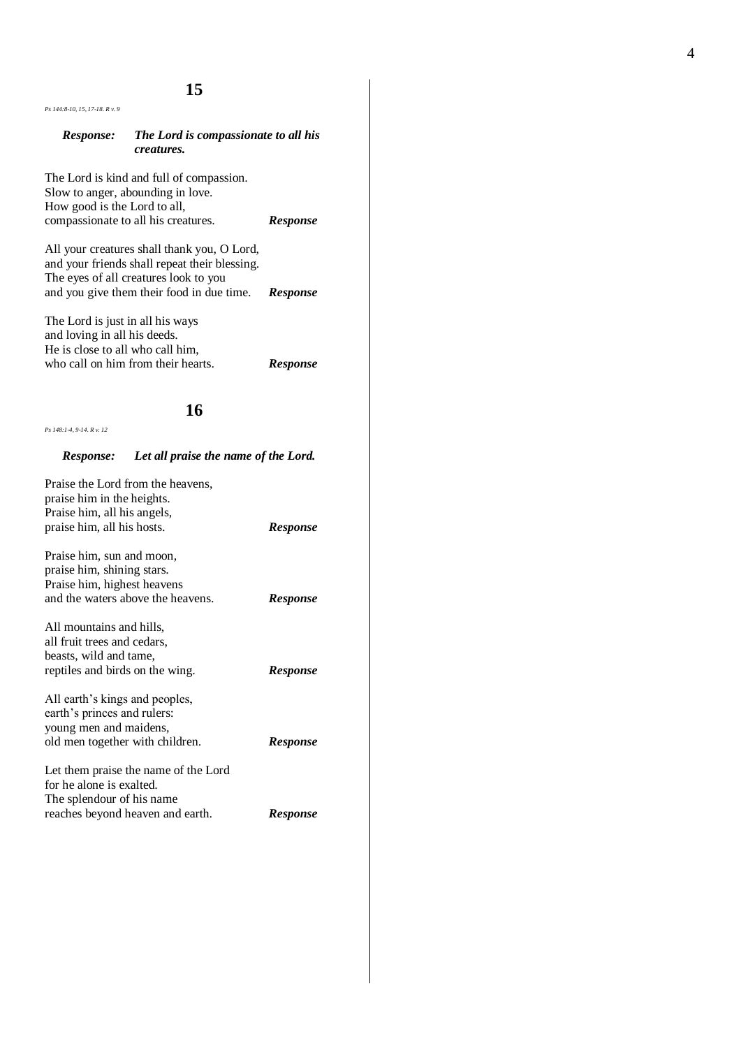# **15**

#### *Ps 144:8 -10, 15, 17 -18. R v. 9*

### *Response: The Lord is compassionate to all his creatures.*

The Lord is kind and full of compassion. Slow to anger, abounding in love. How good is the Lord to all, compassionate to all his creatures. *Response*

All your creatures shall thank you, O Lord, and your friends shall repeat their blessing. The eyes of all creatures look to you and you give them their food in due time. *Response*

The Lord is just in all his ways and loving in all his deeds. He is close to all who call him, who call on him from their hearts. *Response*

#### **16**

*Ps 148:1 -4, 9 -14. R v. 12*

#### *Response: Let all praise the name of the Lord.*

| Praise the Lord from the heavens,<br>praise him in the heights. |                 |
|-----------------------------------------------------------------|-----------------|
| Praise him, all his angels,                                     |                 |
| praise him, all his hosts.                                      | <b>Response</b> |
| Praise him, sun and moon,                                       |                 |
| praise him, shining stars.                                      |                 |
| Praise him, highest heavens                                     |                 |
| and the waters above the heavens.                               | <b>Response</b> |
| All mountains and hills,                                        |                 |
| all fruit trees and cedars,                                     |                 |
| beasts, wild and tame,                                          |                 |
| reptiles and birds on the wing.                                 | <b>Response</b> |
| All earth's kings and peoples,                                  |                 |
| earth's princes and rulers:                                     |                 |
| young men and maidens,                                          |                 |
| old men together with children.                                 | Response        |
| Let them praise the name of the Lord                            |                 |
| for he alone is exalted.                                        |                 |
| The splendour of his name                                       |                 |
| reaches beyond heaven and earth.                                | Response        |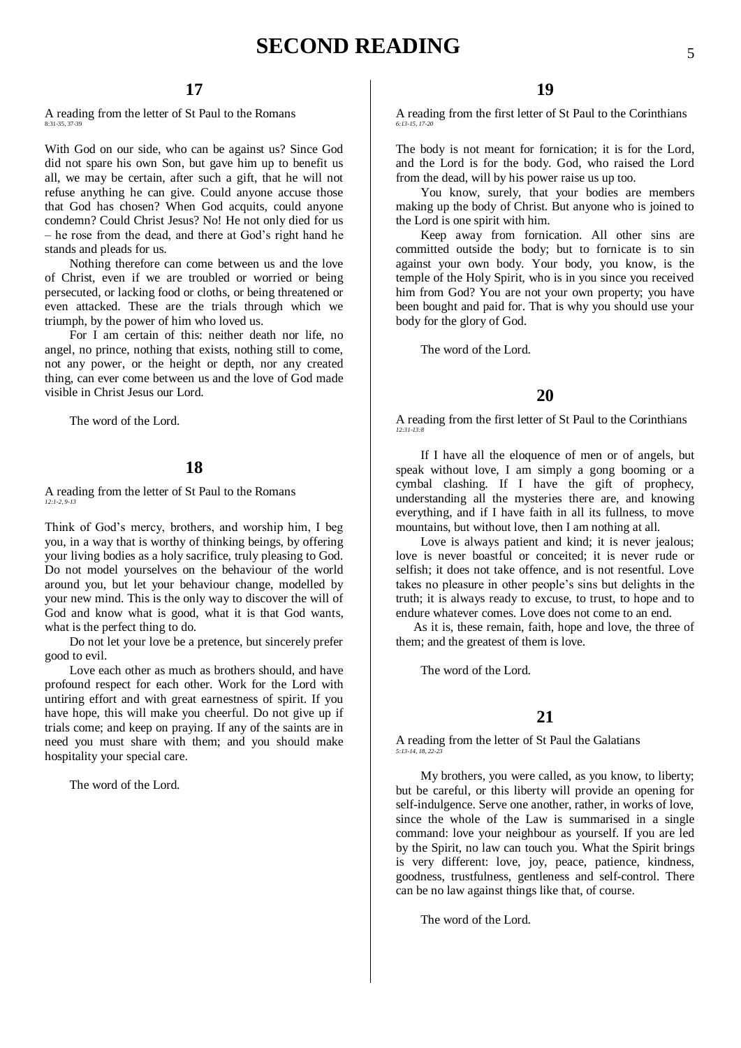A reading from the letter of St Paul to the Romans 8:31-35, 37-39

With God on our side, who can be against us? Since God did not spare his own Son, but gave him up to benefit us all, we may be certain, after such a gift, that he will not refuse anything he can give. Could anyone accuse those that God has chosen? When God acquits, could anyone condemn? Could Christ Jesus? No! He not only died for us – he rose from the dead, and there at God's right hand he stands and pleads for us.

Nothing therefore can come between us and the love of Christ, even if we are troubled or worried or being persecuted, or lacking food or cloths, or being threatened or even attacked. These are the trials through which we triumph, by the power of him who loved us.

For I am certain of this: neither death nor life, no angel, no prince, nothing that exists, nothing still to come, not any power, or the height or depth, nor any created thing, can ever come between us and the love of God made visible in Christ Jesus our Lord.

The word of the Lord.

#### **18**

A reading from the letter of St Paul to the Romans *12:1-2, 9-13*

Think of God's mercy, brothers, and worship him, I beg you, in a way that is worthy of thinking beings, by offering your living bodies as a holy sacrifice, truly pleasing to God. Do not model yourselves on the behaviour of the world around you, but let your behaviour change, modelled by your new mind. This is the only way to discover the will of God and know what is good, what it is that God wants, what is the perfect thing to do.

Do not let your love be a pretence, but sincerely prefer good to evil.

Love each other as much as brothers should, and have profound respect for each other. Work for the Lord with untiring effort and with great earnestness of spirit. If you have hope, this will make you cheerful. Do not give up if trials come; and keep on praying. If any of the saints are in need you must share with them; and you should make hospitality your special care.

The word of the Lord.

A reading from the first letter of St Paul to the Corinthians *6:13-15, 17-20*

The body is not meant for fornication; it is for the Lord, and the Lord is for the body. God, who raised the Lord from the dead, will by his power raise us up too.

You know, surely, that your bodies are members making up the body of Christ. But anyone who is joined to the Lord is one spirit with him.

Keep away from fornication. All other sins are committed outside the body; but to fornicate is to sin against your own body. Your body, you know, is the temple of the Holy Spirit, who is in you since you received him from God? You are not your own property; you have been bought and paid for. That is why you should use your body for the glory of God.

The word of the Lord.

#### **20**

A reading from the first letter of St Paul to the Corinthians *12:31-13:8*

If I have all the eloquence of men or of angels, but speak without love, I am simply a gong booming or a cymbal clashing. If I have the gift of prophecy, understanding all the mysteries there are, and knowing everything, and if I have faith in all its fullness, to move mountains, but without love, then I am nothing at all.

Love is always patient and kind; it is never jealous; love is never boastful or conceited; it is never rude or selfish; it does not take offence, and is not resentful. Love takes no pleasure in other people's sins but delights in the truth; it is always ready to excuse, to trust, to hope and to endure whatever comes. Love does not come to an end.

As it is, these remain, faith, hope and love, the three of them; and the greatest of them is love.

The word of the Lord.

#### **21**

A reading from the letter of St Paul the Galatians *5:13-14, 18, 22-23*

My brothers, you were called, as you know, to liberty; but be careful, or this liberty will provide an opening for self-indulgence. Serve one another, rather, in works of love, since the whole of the Law is summarised in a single command: love your neighbour as yourself. If you are led by the Spirit, no law can touch you. What the Spirit brings is very different: love, joy, peace, patience, kindness, goodness, trustfulness, gentleness and self-control. There can be no law against things like that, of course.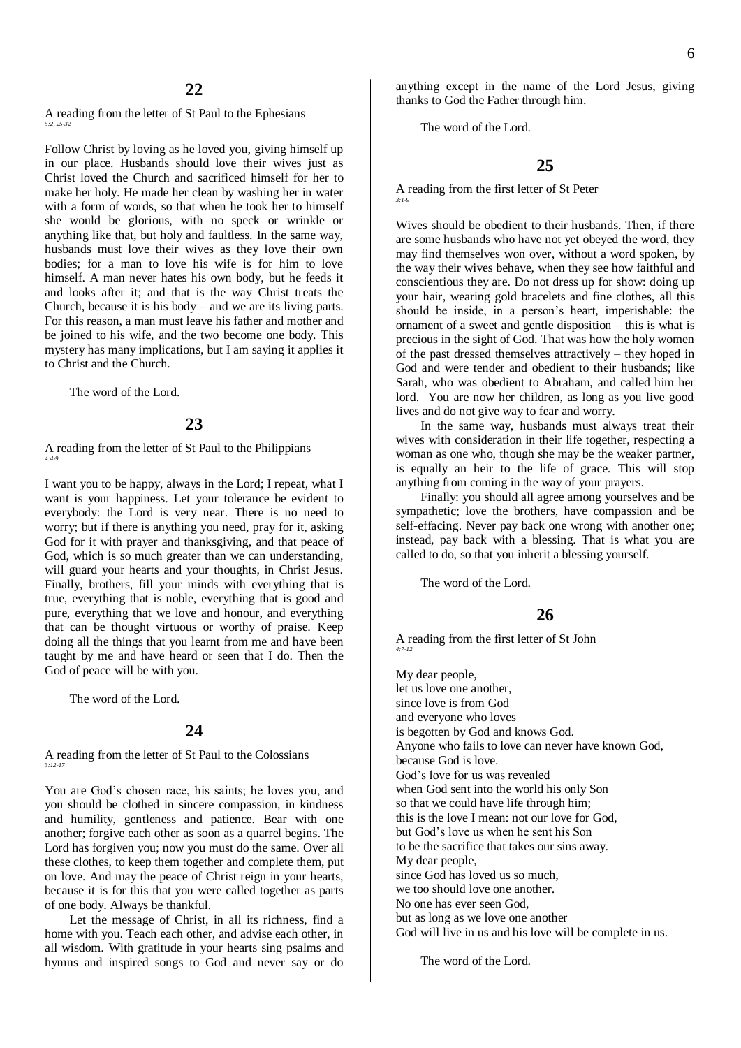A reading from the letter of St Paul to the Ephesians *5:2, 25-32*

Follow Christ by loving as he loved you, giving himself up in our place. Husbands should love their wives just as Christ loved the Church and sacrificed himself for her to make her holy. He made her clean by washing her in water with a form of words, so that when he took her to himself she would be glorious, with no speck or wrinkle or anything like that, but holy and faultless. In the same way, husbands must love their wives as they love their own bodies; for a man to love his wife is for him to love himself. A man never hates his own body, but he feeds it and looks after it; and that is the way Christ treats the Church, because it is his body – and we are its living parts. For this reason, a man must leave his father and mother and be joined to his wife, and the two become one body. This mystery has many implications, but I am saying it applies it to Christ and the Church.

The word of the Lord.

#### **23**

A reading from the letter of St Paul to the Philippians *4:4-9*

I want you to be happy, always in the Lord; I repeat, what I want is your happiness. Let your tolerance be evident to everybody: the Lord is very near. There is no need to worry; but if there is anything you need, pray for it, asking God for it with prayer and thanksgiving, and that peace of God, which is so much greater than we can understanding, will guard your hearts and your thoughts, in Christ Jesus. Finally, brothers, fill your minds with everything that is true, everything that is noble, everything that is good and pure, everything that we love and honour, and everything that can be thought virtuous or worthy of praise. Keep doing all the things that you learnt from me and have been taught by me and have heard or seen that I do. Then the God of peace will be with you.

The word of the Lord.

#### **24**

A reading from the letter of St Paul to the Colossians *3:12-17*

You are God's chosen race, his saints; he loves you, and you should be clothed in sincere compassion, in kindness and humility, gentleness and patience. Bear with one another; forgive each other as soon as a quarrel begins. The Lord has forgiven you; now you must do the same. Over all these clothes, to keep them together and complete them, put on love. And may the peace of Christ reign in your hearts, because it is for this that you were called together as parts of one body. Always be thankful.

Let the message of Christ, in all its richness, find a home with you. Teach each other, and advise each other, in all wisdom. With gratitude in your hearts sing psalms and hymns and inspired songs to God and never say or do

anything except in the name of the Lord Jesus, giving thanks to God the Father through him.

The word of the Lord.

#### **25**

A reading from the first letter of St Peter *3:1-9*

Wives should be obedient to their husbands. Then, if there are some husbands who have not yet obeyed the word, they may find themselves won over, without a word spoken, by the way their wives behave, when they see how faithful and conscientious they are. Do not dress up for show: doing up your hair, wearing gold bracelets and fine clothes, all this should be inside, in a person's heart, imperishable: the ornament of a sweet and gentle disposition – this is what is precious in the sight of God. That was how the holy women of the past dressed themselves attractively – they hoped in God and were tender and obedient to their husbands; like Sarah, who was obedient to Abraham, and called him her lord. You are now her children, as long as you live good lives and do not give way to fear and worry.

In the same way, husbands must always treat their wives with consideration in their life together, respecting a woman as one who, though she may be the weaker partner, is equally an heir to the life of grace. This will stop anything from coming in the way of your prayers.

Finally: you should all agree among yourselves and be sympathetic; love the brothers, have compassion and be self-effacing. Never pay back one wrong with another one; instead, pay back with a blessing. That is what you are called to do, so that you inherit a blessing yourself.

The word of the Lord.

#### **26**

A reading from the first letter of St John *4:7-12*

My dear people, let us love one another, since love is from God and everyone who loves is begotten by God and knows God. Anyone who fails to love can never have known God, because God is love. God's love for us was revealed when God sent into the world his only Son so that we could have life through him; this is the love I mean: not our love for God, but God's love us when he sent his Son to be the sacrifice that takes our sins away. My dear people, since God has loved us so much, we too should love one another. No one has ever seen God, but as long as we love one another God will live in us and his love will be complete in us.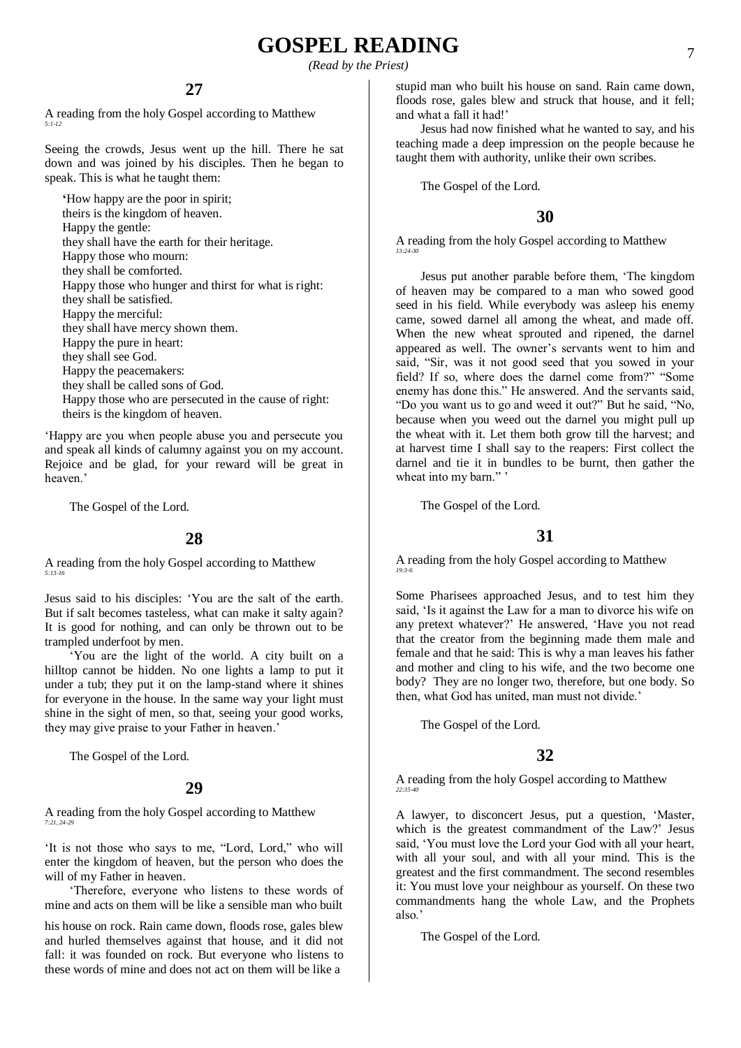*(Read by the Priest)*

#### **27**

A reading from the holy Gospel according to Matthew *5:1-12*

Seeing the crowds, Jesus went up the hill. There he sat down and was joined by his disciples. Then he began to speak. This is what he taught them:

**'**How happy are the poor in spirit; theirs is the kingdom of heaven. Happy the gentle: they shall have the earth for their heritage. Happy those who mourn: they shall be comforted. Happy those who hunger and thirst for what is right: they shall be satisfied. Happy the merciful: they shall have mercy shown them. Happy the pure in heart: they shall see God. Happy the peacemakers: they shall be called sons of God. Happy those who are persecuted in the cause of right: theirs is the kingdom of heaven.

'Happy are you when people abuse you and persecute you and speak all kinds of calumny against you on my account. Rejoice and be glad, for your reward will be great in heaven.'

The Gospel of the Lord.

#### **28**

A reading from the holy Gospel according to Matthew *5:13-16*

Jesus said to his disciples: 'You are the salt of the earth. But if salt becomes tasteless, what can make it salty again? It is good for nothing, and can only be thrown out to be trampled underfoot by men.

'You are the light of the world. A city built on a hilltop cannot be hidden. No one lights a lamp to put it under a tub; they put it on the lamp-stand where it shines for everyone in the house. In the same way your light must shine in the sight of men, so that, seeing your good works, they may give praise to your Father in heaven.'

The Gospel of the Lord.

## **29**

A reading from the holy Gospel according to Matthew *7:21, 24-29*

'It is not those who says to me, "Lord, Lord," who will enter the kingdom of heaven, but the person who does the will of my Father in heaven.

'Therefore, everyone who listens to these words of mine and acts on them will be like a sensible man who built

his house on rock. Rain came down, floods rose, gales blew and hurled themselves against that house, and it did not fall: it was founded on rock. But everyone who listens to these words of mine and does not act on them will be like a

stupid man who built his house on sand. Rain came down, floods rose, gales blew and struck that house, and it fell; and what a fall it had!'

Jesus had now finished what he wanted to say, and his teaching made a deep impression on the people because he taught them with authority, unlike their own scribes.

The Gospel of the Lord.

#### **30**

A reading from the holy Gospel according to Matthew *13:24-30*

Jesus put another parable before them, 'The kingdom of heaven may be compared to a man who sowed good seed in his field. While everybody was asleep his enemy came, sowed darnel all among the wheat, and made off. When the new wheat sprouted and ripened, the darnel appeared as well. The owner's servants went to him and said, "Sir, was it not good seed that you sowed in your field? If so, where does the darnel come from?" "Some enemy has done this." He answered. And the servants said, "Do you want us to go and weed it out?" But he said, "No, because when you weed out the darnel you might pull up the wheat with it. Let them both grow till the harvest; and at harvest time I shall say to the reapers: First collect the darnel and tie it in bundles to be burnt, then gather the wheat into my barn."

The Gospel of the Lord.

### **31**

A reading from the holy Gospel according to Matthew *19:3-6*

Some Pharisees approached Jesus, and to test him they said, 'Is it against the Law for a man to divorce his wife on any pretext whatever?' He answered, 'Have you not read that the creator from the beginning made them male and female and that he said: This is why a man leaves his father and mother and cling to his wife, and the two become one body? They are no longer two, therefore, but one body. So then, what God has united, man must not divide.'

The Gospel of the Lord.

#### **32**

A reading from the holy Gospel according to Matthew *22:35-40*

A lawyer, to disconcert Jesus, put a question, 'Master, which is the greatest commandment of the Law?' Jesus said, 'You must love the Lord your God with all your heart, with all your soul, and with all your mind. This is the greatest and the first commandment. The second resembles it: You must love your neighbour as yourself. On these two commandments hang the whole Law, and the Prophets also.'

The Gospel of the Lord.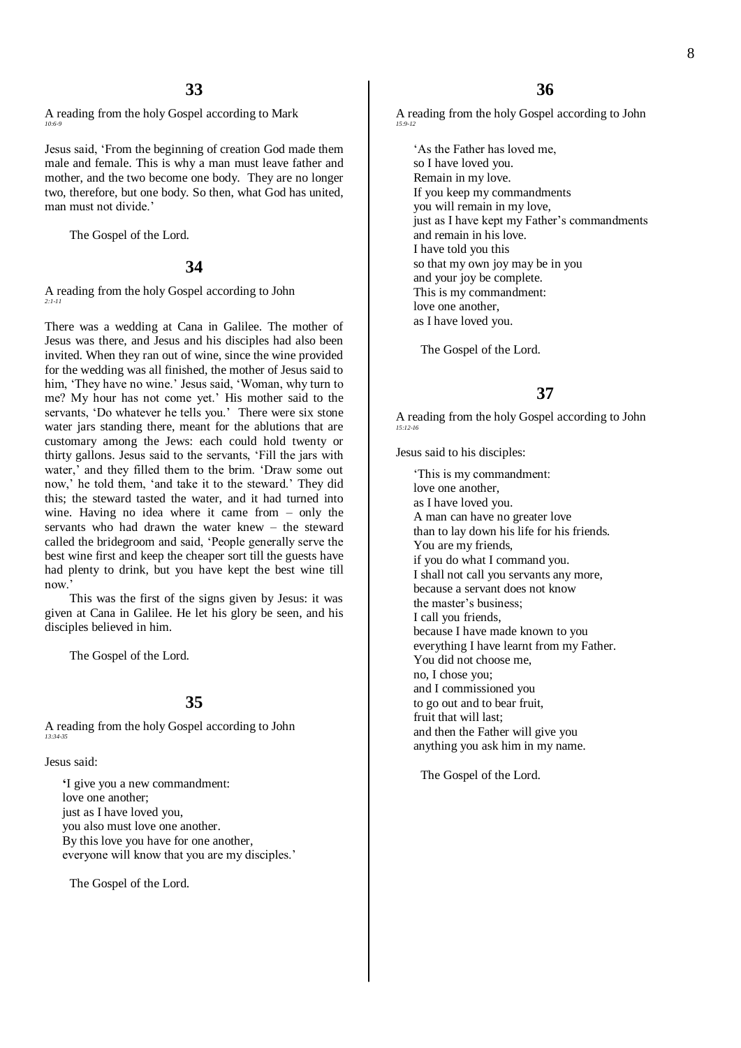A reading from the holy Gospel according to Mark *10:6-9*

Jesus said, 'From the beginning of creation God made them male and female. This is why a man must leave father and mother, and the two become one body. They are no longer two, therefore, but one body. So then, what God has united, man must not divide.'

The Gospel of the Lord.

#### **34**

A reading from the holy Gospel according to John *2:1-11*

There was a wedding at Cana in Galilee. The mother of Jesus was there, and Jesus and his disciples had also been invited. When they ran out of wine, since the wine provided for the wedding was all finished, the mother of Jesus said to him, 'They have no wine.' Jesus said, 'Woman, why turn to me? My hour has not come yet.' His mother said to the servants, 'Do whatever he tells you.' There were six stone water jars standing there, meant for the ablutions that are customary among the Jews: each could hold twenty or thirty gallons. Jesus said to the servants, 'Fill the jars with water,' and they filled them to the brim. 'Draw some out now,' he told them, 'and take it to the steward.' They did this; the steward tasted the water, and it had turned into wine. Having no idea where it came from – only the servants who had drawn the water knew – the steward called the bridegroom and said, 'People generally serve the best wine first and keep the cheaper sort till the guests have had plenty to drink, but you have kept the best wine till now.'

This was the first of the signs given by Jesus: it was given at Cana in Galilee. He let his glory be seen, and his disciples believed in him.

The Gospel of the Lord.

#### **35**

A reading from the holy Gospel according to John *13:34-35*

Jesus said:

**'**I give you a new commandment: love one another; just as I have loved you, you also must love one another. By this love you have for one another, everyone will know that you are my disciples.'

The Gospel of the Lord.

A reading from the holy Gospel according to John *15:9-12*

'As the Father has loved me, so I have loved you. Remain in my love. If you keep my commandments you will remain in my love, just as I have kept my Father's commandments and remain in his love. I have told you this so that my own joy may be in you and your joy be complete. This is my commandment: love one another, as I have loved you.

The Gospel of the Lord.

#### **37**

A reading from the holy Gospel according to John *15:12-16*

Jesus said to his disciples:

'This is my commandment: love one another, as I have loved you. A man can have no greater love than to lay down his life for his friends. You are my friends, if you do what I command you. I shall not call you servants any more, because a servant does not know the master's business; I call you friends, because I have made known to you everything I have learnt from my Father. You did not choose me, no, I chose you; and I commissioned you to go out and to bear fruit, fruit that will last; and then the Father will give you anything you ask him in my name.

The Gospel of the Lord.